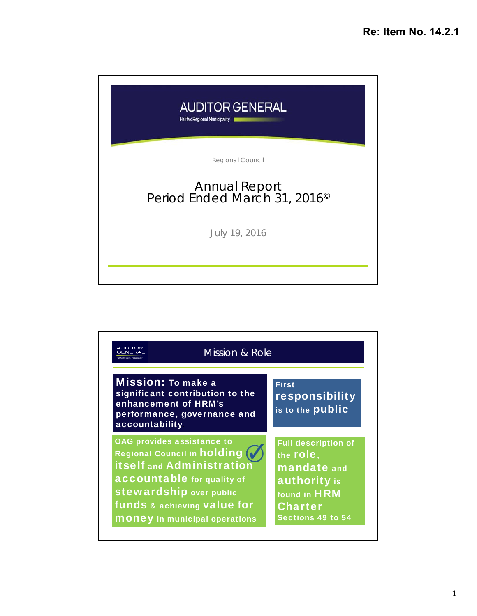

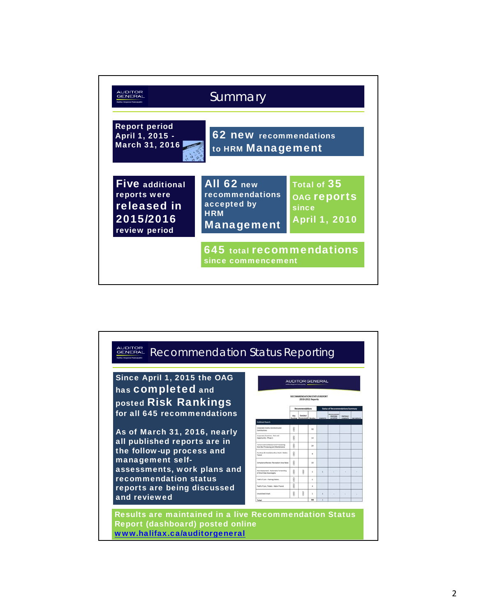

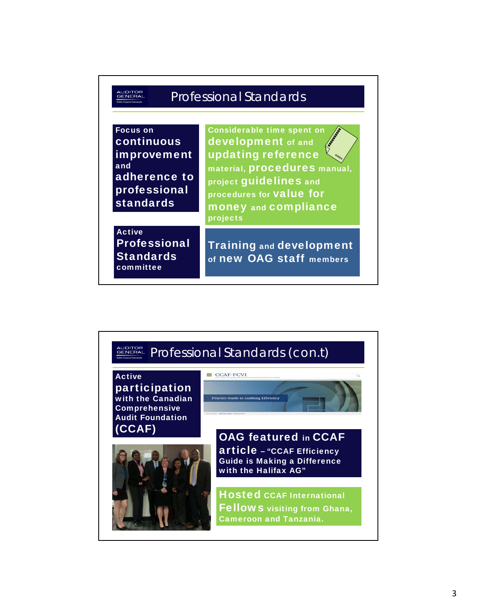## Professional Standards

| <b>Active</b>       | projects                          |
|---------------------|-----------------------------------|
| <b>Professional</b> | <b>Training and development</b>   |
| <b>Standards</b>    | of new OAG staff members          |
| <b>Focus on</b>     | <b>Considerable time spent on</b> |
| continuous          | development of and                |
| <b>improvement</b>  | updating reference                |
| and                 | material, procedures manual,      |
| adherence to        | project <b>guidelines</b> and     |
| professional        | procedures for <b>Value</b> for   |
| <b>standards</b>    | <b>money and Compliance</b>       |

committee

AUDITOR<br>GENERAL

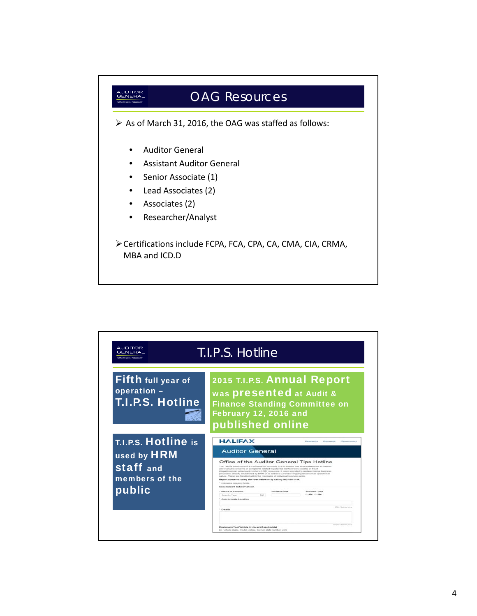

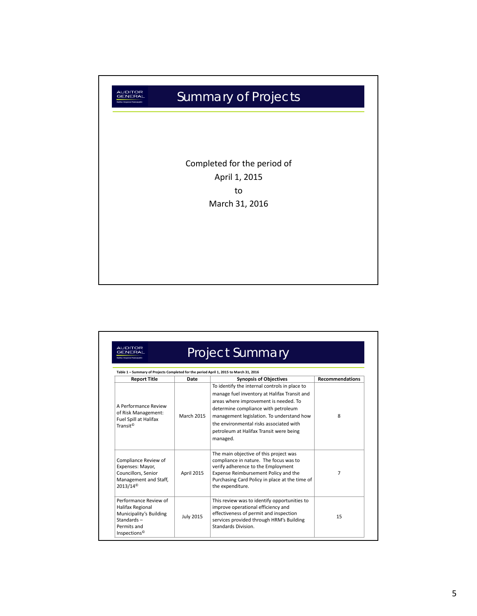## Summary of Projects

AUDITOR<br>GENERAL

Completed for the period of April 1, 2015 to March 31, 2016

| <b>Project Summary</b><br>GENERA<br><b>Maritime: Warrelower Little automobile</b><br>Table 1 - Summary of Projects Completed for the period April 1, 2015 to March 31, 2016 |                  |                                                                                                                                                                                                                                                                                                                              |                        |  |  |
|-----------------------------------------------------------------------------------------------------------------------------------------------------------------------------|------------------|------------------------------------------------------------------------------------------------------------------------------------------------------------------------------------------------------------------------------------------------------------------------------------------------------------------------------|------------------------|--|--|
| <b>Report Title</b>                                                                                                                                                         | Date             | <b>Synopsis of Objectives</b>                                                                                                                                                                                                                                                                                                | <b>Recommendations</b> |  |  |
| A Performance Review<br>of Risk Management:<br>Fuel Spill at Halifax<br>Transit <sup>©</sup>                                                                                | March 2015       | To identify the internal controls in place to<br>manage fuel inventory at Halifax Transit and<br>areas where improvement is needed. To<br>determine compliance with petroleum<br>management legislation. To understand how<br>the environmental risks associated with<br>petroleum at Halifax Transit were being<br>managed. | 8                      |  |  |
| Compliance Review of<br>Expenses: Mayor,<br>Councillors, Senior<br>Management and Staff,<br>2013/14 <sup>©</sup>                                                            | April 2015       | The main objective of this project was<br>compliance in nature. The focus was to<br>verify adherence to the Employment<br>Expense Reimbursement Policy and the<br>Purchasing Card Policy in place at the time of<br>the expenditure.                                                                                         | 7                      |  |  |
| Performance Review of<br>Halifax Regional<br>Municipality's Building<br>Standards-<br>Permits and<br>Inspections <sup>®</sup>                                               | <b>July 2015</b> | This review was to identify opportunities to<br>improve operational efficiency and<br>effectiveness of permit and inspection<br>services provided through HRM's Building<br>Standards Division.                                                                                                                              | 15                     |  |  |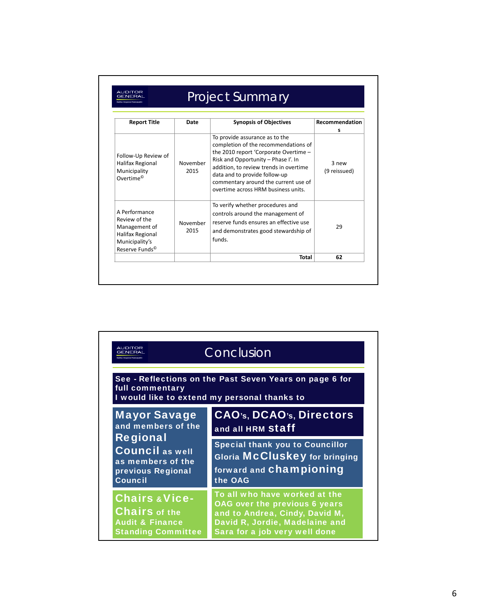| <b>Project Summary</b>                                                                                              |                  |                                                                                                                                                                                                                                                                                                                  |                            |  |  |
|---------------------------------------------------------------------------------------------------------------------|------------------|------------------------------------------------------------------------------------------------------------------------------------------------------------------------------------------------------------------------------------------------------------------------------------------------------------------|----------------------------|--|--|
| <b>Report Title</b>                                                                                                 | Date             | <b>Synopsis of Objectives</b>                                                                                                                                                                                                                                                                                    | <b>Recommendation</b><br>s |  |  |
| Follow-Up Review of<br>Halifax Regional<br>Municipality<br>Overtime <sup>©</sup>                                    | November<br>2015 | To provide assurance as to the<br>completion of the recommendations of<br>the 2010 report 'Corporate Overtime -<br>Risk and Opportunity - Phase I'. In<br>addition, to review trends in overtime<br>data and to provide follow-up<br>commentary around the current use of<br>overtime across HRM business units. | 3 new<br>(9 reissued)      |  |  |
| A Performance<br>Review of the<br>Management of<br>Halifax Regional<br>Municipality's<br>Reserve Funds <sup>©</sup> | November<br>2015 | To verify whether procedures and<br>controls around the management of<br>reserve funds ensures an effective use<br>and demonstrates good stewardship of<br>funds.                                                                                                                                                | 29                         |  |  |
|                                                                                                                     |                  | Total                                                                                                                                                                                                                                                                                                            | 62                         |  |  |

| <b>AUDITOR</b><br>GENER<br><b>Max Rendered Manufacture</b>                                                                                         | Conclusion                                                                                                                                                          |  |  |  |
|----------------------------------------------------------------------------------------------------------------------------------------------------|---------------------------------------------------------------------------------------------------------------------------------------------------------------------|--|--|--|
| See - Reflections on the Past Seven Years on page 6 for<br>full commentary<br>I would like to extend my personal thanks to                         |                                                                                                                                                                     |  |  |  |
| <b>Mayor Savage</b><br>and members of the<br><b>Regional</b><br><b>Council as well</b><br>as members of the<br>previous Regional<br><b>Council</b> | <b>CAO's, DCAO's, Directors</b><br>and all HRM Staff                                                                                                                |  |  |  |
|                                                                                                                                                    | <b>Special thank you to Councillor</b><br><b>Gloria McCluskey for bringing</b><br>forward and <b>Championing</b><br>the OAG                                         |  |  |  |
| <b>Chairs &amp; Vice-</b><br><b>Chairs of the</b><br><b>Audit &amp; Finance</b><br><b>Standing Committee</b>                                       | To all who have worked at the<br>OAG over the previous 6 years<br>and to Andrea, Cindy, David M,<br>David R, Jordie, Madelaine and<br>Sara for a job very well done |  |  |  |